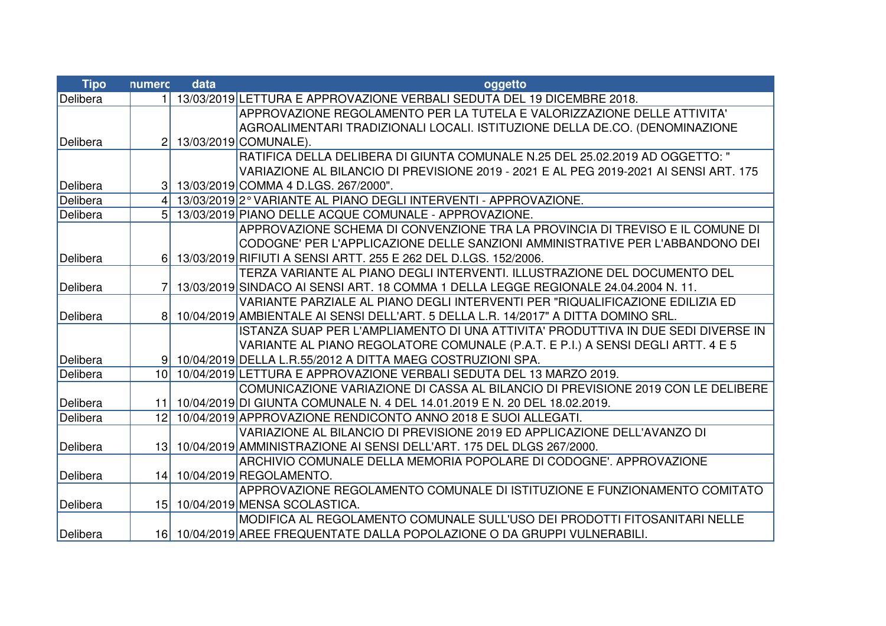| <b>Tipo</b> | numerc          | data | oggetto                                                                               |
|-------------|-----------------|------|---------------------------------------------------------------------------------------|
| Delibera    | 11              |      | 13/03/2019 LETTURA E APPROVAZIONE VERBALI SEDUTA DEL 19 DICEMBRE 2018.                |
|             |                 |      | APPROVAZIONE REGOLAMENTO PER LA TUTELA E VALORIZZAZIONE DELLE ATTIVITA'               |
|             |                 |      | AGROALIMENTARI TRADIZIONALI LOCALI. ISTITUZIONE DELLA DE.CO. (DENOMINAZIONE           |
| Delibera    | 2 <sup>1</sup>  |      | 13/03/2019 COMUNALE).                                                                 |
|             |                 |      | RATIFICA DELLA DELIBERA DI GIUNTA COMUNALE N.25 DEL 25.02.2019 AD OGGETTO: "          |
|             |                 |      | VARIAZIONE AL BILANCIO DI PREVISIONE 2019 - 2021 E AL PEG 2019-2021 AI SENSI ART. 175 |
| Delibera    | 3 <sup>1</sup>  |      | 13/03/2019 COMMA 4 D.LGS. 267/2000".                                                  |
| Delibera    |                 |      | 13/03/2019 2° VARIANTE AL PIANO DEGLI INTERVENTI - APPROVAZIONE.                      |
| Delibera    | 5 <sup>1</sup>  |      | 13/03/2019 PIANO DELLE ACQUE COMUNALE - APPROVAZIONE                                  |
|             |                 |      | APPROVAZIONE SCHEMA DI CONVENZIONE TRA LA PROVINCIA DI TREVISO E IL COMUNE DI         |
|             |                 |      | CODOGNE' PER L'APPLICAZIONE DELLE SANZIONI AMMINISTRATIVE PER L'ABBANDONO DEI         |
| Delibera    | 6 <sup>1</sup>  |      | 13/03/2019 RIFIUTI A SENSI ARTT. 255 E 262 DEL D.LGS. 152/2006.                       |
|             |                 |      | TERZA VARIANTE AL PIANO DEGLI INTERVENTI. ILLUSTRAZIONE DEL DOCUMENTO DEL             |
| Delibera    |                 |      | 13/03/2019 SINDACO AI SENSI ART. 18 COMMA 1 DELLA LEGGE REGIONALE 24.04.2004 N. 11.   |
|             |                 |      | VARIANTE PARZIALE AL PIANO DEGLI INTERVENTI PER "RIQUALIFICAZIONE EDILIZIA ED         |
| Delibera    | 8 <sup>1</sup>  |      | 10/04/2019 AMBIENTALE AI SENSI DELL'ART. 5 DELLA L.R. 14/2017" A DITTA DOMINO SRL.    |
|             |                 |      | ISTANZA SUAP PER L'AMPLIAMENTO DI UNA ATTIVITA' PRODUTTIVA IN DUE SEDI DIVERSE IN     |
|             |                 |      | VARIANTE AL PIANO REGOLATORE COMUNALE (P.A.T. E P.I.) A SENSI DEGLI ARTT. 4 E 5       |
| Delibera    |                 |      | 9 10/04/2019 DELLA L.R.55/2012 A DITTA MAEG COSTRUZIONI SPA.                          |
| Delibera    | 10 <sup>1</sup> |      | 10/04/2019 LETTURA E APPROVAZIONE VERBALI SEDUTA DEL 13 MARZO 2019.                   |
|             |                 |      | COMUNICAZIONE VARIAZIONE DI CASSA AL BILANCIO DI PREVISIONE 2019 CON LE DELIBERE      |
| Delibera    |                 |      | 11 10/04/2019 DI GIUNTA COMUNALE N. 4 DEL 14.01.2019 E N. 20 DEL 18.02.2019.          |
| Delibera    | 12 <sup>1</sup> |      | 10/04/2019 APPROVAZIONE RENDICONTO ANNO 2018 E SUOI ALLEGATI.                         |
|             |                 |      | VARIAZIONE AL BILANCIO DI PREVISIONE 2019 ED APPLICAZIONE DELL'AVANZO DI              |
| Delibera    | 13 <sup>1</sup> |      | 10/04/2019 AMMINISTRAZIONE AI SENSI DELL'ART. 175 DEL DLGS 267/2000.                  |
|             |                 |      | ARCHIVIO COMUNALE DELLA MEMORIA POPOLARE DI CODOGNE'. APPROVAZIONE                    |
| Delibera    | 14              |      | 10/04/2019 REGOLAMENTO.                                                               |
|             |                 |      | APPROVAZIONE REGOLAMENTO COMUNALE DI ISTITUZIONE E FUNZIONAMENTO COMITATO             |
| Delibera    |                 |      | 15 10/04/2019 MENSA SCOLASTICA.                                                       |
|             |                 |      | MODIFICA AL REGOLAMENTO COMUNALE SULL'USO DEI PRODOTTI FITOSANITARI NELLE             |
| Delibera    |                 |      | 16 10/04/2019 AREE FREQUENTATE DALLA POPOLAZIONE O DA GRUPPI VULNERABILI.             |